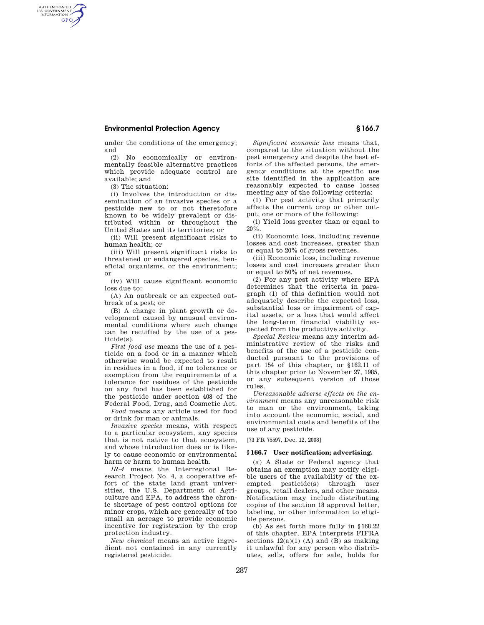### **Environmental Protection Agency § 166.7**

under the conditions of the emergency; and

(2) No economically or environmentally feasible alternative practices which provide adequate control are available; and

(3) The situation:

AUTHENTICATED<br>U.S. GOVERNMENT<br>INFORMATION **GPO** 

> (i) Involves the introduction or dissemination of an invasive species or a pesticide new to or not theretofore known to be widely prevalent or distributed within or throughout the United States and its territories; or

> (ii) Will present significant risks to human health; or

> (iii) Will present significant risks to threatened or endangered species, beneficial organisms, or the environment; or

(iv) Will cause significant economic loss due to:

(A) An outbreak or an expected outbreak of a pest; or

(B) A change in plant growth or development caused by unusual environmental conditions where such change can be rectified by the use of a pesticide(s).

*First food use* means the use of a pesticide on a food or in a manner which otherwise would be expected to result in residues in a food, if no tolerance or exemption from the requirements of a tolerance for residues of the pesticide on any food has been established for the pesticide under section 408 of the Federal Food, Drug, and Cosmetic Act.

*Food* means any article used for food or drink for man or animals.

*Invasive species* means, with respect to a particular ecosystem, any species that is not native to that ecosystem, and whose introduction does or is likely to cause economic or environmental harm or harm to human health.

*IR-4* means the Interregional Research Project No. 4, a cooperative effort of the state land grant universities, the U.S. Department of Agriculture and EPA, to address the chronic shortage of pest control options for minor crops, which are generally of too small an acreage to provide economic incentive for registration by the crop protection industry.

*New chemical* means an active ingredient not contained in any currently registered pesticide.

*Significant economic loss* means that, compared to the situation without the pest emergency and despite the best efforts of the affected persons, the emergency conditions at the specific use site identified in the application are reasonably expected to cause losses meeting any of the following criteria:

(1) For pest activity that primarily affects the current crop or other output, one or more of the following:

(i) Yield loss greater than or equal to 20%.

(ii) Economic loss, including revenue losses and cost increases, greater than or equal to 20% of gross revenues.

(iii) Economic loss, including revenue losses and cost increases greater than or equal to 50% of net revenues.

(2) For any pest activity where EPA determines that the criteria in paragraph (1) of this definition would not adequately describe the expected loss, substantial loss or impairment of capital assets, or a loss that would affect the long-term financial viability expected from the productive activity.

*Special Review* means any interim administrative review of the risks and benefits of the use of a pesticide conducted pursuant to the provisions of part 154 of this chapter, or §162.11 of this chapter prior to November 27, 1985, or any subsequent version of those rules.

*Unreasonable adverse effects on the environment* means any unreasonable risk to man or the environment, taking into account the economic, social, and environmental costs and benefits of the use of any pesticide.

[73 FR 75597, Dec. 12, 2008]

#### **§ 166.7 User notification; advertising.**

(a) A State or Federal agency that obtains an exemption may notify eligible users of the availability of the exempted pesticide(s) through user groups, retail dealers, and other means. Notification may include distributing copies of the section 18 approval letter, labeling, or other information to eligible persons.

(b) As set forth more fully in §168.22 of this chapter, EPA interprets FIFRA sections  $12(a)(1)$  (A) and (B) as making it unlawful for any person who distributes, sells, offers for sale, holds for